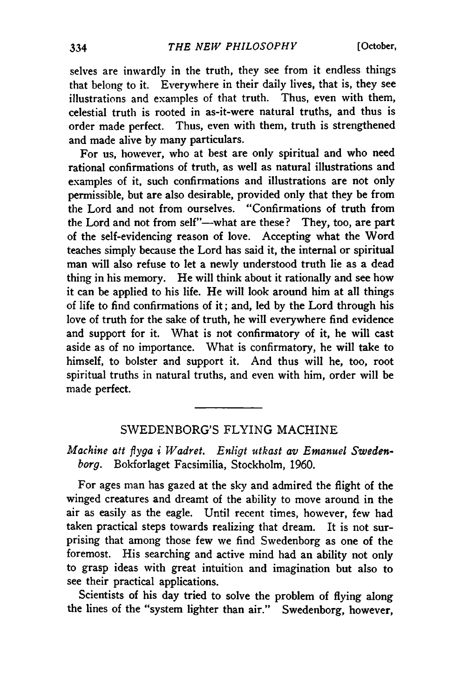selves are inwardly in the truth, they see from it endless things that belong to it. Everywhere in their daily lives, that is, they see illustrations and examples of that truth. Thus, even with them, celestial truth is rooted in as-it-were natural truths, and thus is order made perfect. Thus, even with them, truth is strengthened and made alive by many particulars.

For us, however, who at best are only spiritual and who need rational confirmations of truth, as well as natural illustrations and examples of it, such confirmations and illustrations are not only permissible, but are also desirable, provided only that they be from the Lord and not from ourselves. "Confirmations of truth from the Lord and not from self"—what are these ? They, too, are part of the self-evidencing reason of love. Accepting what the Word teaches simply because the Lord has said it, the internal or spiritual man will also refuse to let a newly understood truth lie as a dead thing in his memory. He will think about it rationally and see how it can be applied to his life. He will look around him at all things of life to find confirmations of it; and, led by the Lord through his love of truth for the sake of truth, he will everywhere find evidence and support for it. What is not confirmatory of it, he will cast aside as of no importance. What is confirmatory, he will take to himself, to bolster and support it. And thus will he, too, root spiritual truths in natural truths, and even with him, order will be made perfect.

## SWEDENBORG'S FLYING MACHINE

*Machine att flyga i Wadret. Enligt utkast av Emanuel Swedenborg.* Bokforlaget Facsimilia, Stockholm, 1960.

For ages man has gazed at the sky and admired the flight of the winged creatures and dreamt of the ability to move around in the air as easily as the eagle. Until recent times, however, few had taken practical steps towards realizing that dream. It is not surprising that among those few we find Swedenborg as one of the foremost. His searching and active mind had an ability not only to grasp ideas with great intuition and imagination but also to see their practical applications.

Scientists of his day tried to solve the problem of flying along the lines of the "system lighter than air." Swedenborg, however,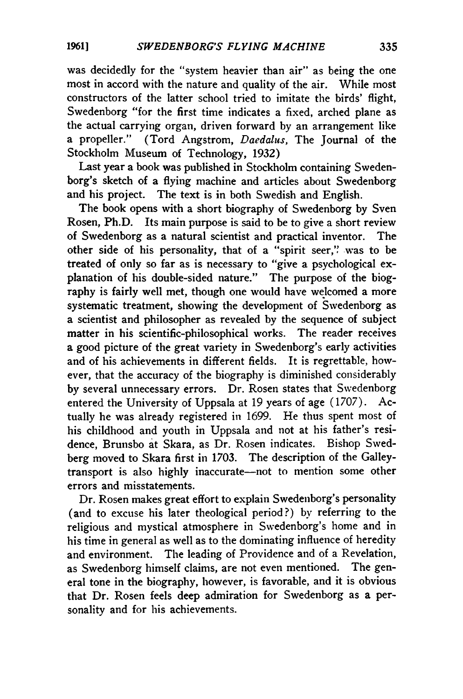was decidedly for the "system heavier than air" as being the one most in accord with the nature and quality of the air. While most constructors of the latter school tried to imitate the birds' flight, Swedenborg "for the first time indicates a fixed, arched plane as the actual carrying organ, driven forward by an arrangement like a propeller." (Tord Angstrom, *Daedalus,* The Journal of the Stockholm Museum of Technology, 1932)

Last year a book was published in Stockholm containing Swedenborg's sketch of a flying machine and articles about Swedenborg and his project. The text is in both Swedish and English.

The book opens with a short biography of Swedenborg by Sven Rosen, Ph.D. Its main purpose is said to be to give a short review of Swedenborg as a natural scientist and practical inventor. The other side of his personality, that of a "spirit seer," was to be treated of only so far as is necessary to "give a psychological explanation of his double-sided nature." The purpose of the biography is fairly well met, though one would have welcomed a more systematic treatment, showing the development of Swedenborg as  $\overline{a}$  scientist and philosopher as revealed by the sequence of subject matter in his scientific-philosophical works. The reader receives a good picture of the great variety in Swedenborg's early activities and of his achievements in different fields. It is regrettable, however, that the accuracy of the biography is diminished considerably by several unnecessary errors. Dr. Rosen states that Swedenborg entered the University of Uppsala at 19 years of age (1707). Actually he was already registered in 1699. He thus spent most of his childhood and youth in Uppsala and not at his father's residence, Brunsbo at Skara, as Dr. Rosen indicates. Bishop Swedberg moved to Skara first in 1703. The description of the Galleytransport is also highly inaccurate—not to mention some other errors and misstatements.

Dr. Rosen makes great effort to explain Swedenborg's personality (and to excuse his later theological period?) by referring to the religious and mystical atmosphere in Swedenborg's home and in his time in general as well as to the dominating influence of heredity and environment. The leading of Providence and of a Revelation, as Swedenborg himself claims, are not even mentioned. The general tone in the biography, however, is favorable, and it is obvious that Dr. Rosen feels deep admiration for Swedenborg as a personality and for his achievements.